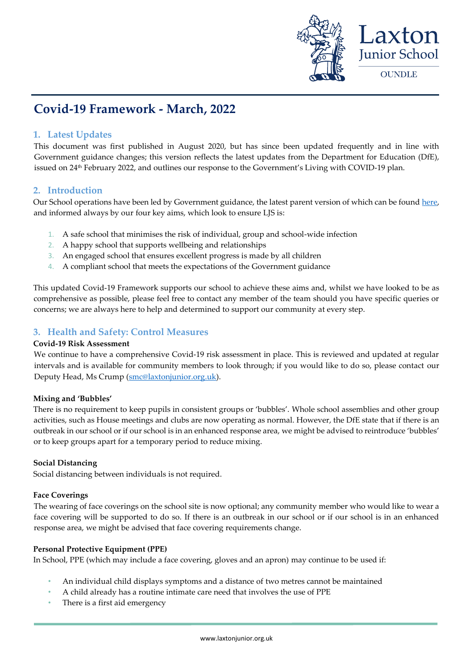

# **Covid-19 Framework - March, 2022**

# **1. Latest Updates**

This document was first published in August 2020, but has since been updated frequently and in line with Government guidance changes; this version reflects the latest updates from the Department for Education (DfE), issued on 24th February 2022, and outlines our response to the Government's Living with COVID-19 plan.

# **2. Introduction**

Our School operations have been led by Government guidance, the latest parent version of which can be foun[d here,](https://www.gov.uk/government/publications/what-parents-and-carers-need-to-know-about-early-years-providers-schools-and-colleges-during-the-coronavirus-covid-19-outbreak/step-4-update-what-parents-and-carers-need-to-know-about-early-years-providers-schools-and-colleges) and informed always by our four key aims, which look to ensure LJS is:

- 1. A safe school that minimises the risk of individual, group and school-wide infection
- 2. A happy school that supports wellbeing and relationships
- 3. An engaged school that ensures excellent progress is made by all children
- 4. A compliant school that meets the expectations of the Government guidance

This updated Covid-19 Framework supports our school to achieve these aims and, whilst we have looked to be as comprehensive as possible, please feel free to contact any member of the team should you have specific queries or concerns; we are always here to help and determined to support our community at every step.

# **3. Health and Safety: Control Measures**

### **Covid-19 Risk Assessment**

We continue to have a comprehensive Covid-19 risk assessment in place. This is reviewed and updated at regular intervals and is available for community members to look through; if you would like to do so, please contact our Deputy Head, Ms Crump [\(smc@laxtonjunior.org.uk\)](mailto:smc@laxtonjunior.org.uk).

### **Mixing and 'Bubbles'**

There is no requirement to keep pupils in consistent groups or 'bubbles'. Whole school assemblies and other group activities, such as House meetings and clubs are now operating as normal. However, the DfE state that if there is an outbreak in our school or if our school is in an enhanced response area, we might be advised to reintroduce 'bubbles' or to keep groups apart for a temporary period to reduce mixing.

### **Social Distancing**

Social distancing between individuals is not required.

### **Face Coverings**

The wearing of face coverings on the school site is now optional; any community member who would like to wear a face covering will be supported to do so. If there is an outbreak in our school or if our school is in an enhanced response area, we might be advised that face covering requirements change.

### **Personal Protective Equipment (PPE)**

In School, PPE (which may include a face covering, gloves and an apron) may continue to be used if:

- An individual child displays symptoms and a distance of two metres cannot be maintained
- A child already has a routine intimate care need that involves the use of PPE
- There is a first aid emergency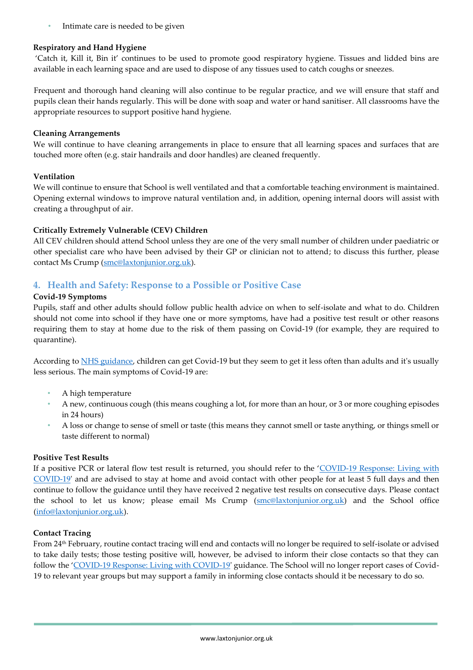• Intimate care is needed to be given

## **Respiratory and Hand Hygiene**

'Catch it, Kill it, Bin it' continues to be used to promote good respiratory hygiene. Tissues and lidded bins are available in each learning space and are used to dispose of any tissues used to catch coughs or sneezes.

Frequent and thorough hand cleaning will also continue to be regular practice, and we will ensure that staff and pupils clean their hands regularly. This will be done with soap and water or hand sanitiser. All classrooms have the appropriate resources to support positive hand hygiene.

### **Cleaning Arrangements**

We will continue to have cleaning arrangements in place to ensure that all learning spaces and surfaces that are touched more often (e.g. stair handrails and door handles) are cleaned frequently.

# **Ventilation**

We will continue to ensure that School is well ventilated and that a comfortable teaching environment is maintained. Opening external windows to improve natural ventilation and, in addition, opening internal doors will assist with creating a throughput of air.

# **Critically Extremely Vulnerable (CEV) Children**

All CEV children should attend School unless they are one of the very small number of children under paediatric or other specialist care who have been advised by their GP or clinician not to attend; to discuss this further, please contact Ms Crump [\(smc@laxtonjunior.org.uk\)](mailto:smc@laxtonjunior.org.uk).

# **4. Health and Safety: Response to a Possible or Positive Case**

# **Covid-19 Symptoms**

Pupils, staff and other adults should follow public health advice on when to self-isolate and what to do. Children should not come into school if they have one or more symptoms, have had a positive test result or other reasons requiring them to stay at home due to the risk of them passing on Covid-19 (for example, they are required to quarantine).

According to [NHS guidance,](https://www.nhs.uk/conditions/coronavirus-covid-19/symptoms/coronavirus-in-children/) children can get Covid-19 but they seem to get it less often than adults and it's usually less serious. The main symptoms of Covid-19 are:

- A high temperature
- A new, continuous cough (this means coughing a lot, for more than an hour, or 3 or more coughing episodes in 24 hours)
- A loss or change to sense of smell or taste (this means they cannot smell or taste anything, or things smell or taste different to normal)

### **Positive Test Results**

If a positive PCR or lateral flow test result is returned, you should refer to the '[COVID-19 Response: Living with](https://www.gov.uk/government/publications/covid-19-response-living-with-covid-19/covid-19-response-living-with-covid-19)  [COVID-19'](https://www.gov.uk/government/publications/covid-19-response-living-with-covid-19/covid-19-response-living-with-covid-19) and are advised to stay at home and avoid contact with other people for at least 5 full days and then continue to follow the guidance until they have received 2 negative test results on consecutive days. Please contact the school to let us know; please email Ms Crump [\(smc@laxtonjunior.org.uk\)](mailto:smc@laxtonjunior.org.uk) and the School office [\(info@laxtonjunior.org.uk\)](mailto:info@laxtonjunior.org.uk).

### **Contact Tracing**

From 24th February, routine contact tracing will end and contacts will no longer be required to self-isolate or advised to take daily tests; those testing positive will, however, be advised to inform their close contacts so that they can follow the '[COVID-19 Response: Living with COVID-19'](https://www.gov.uk/government/publications/covid-19-response-living-with-covid-19/covid-19-response-living-with-covid-19) guidance. The School will no longer report cases of Covid-19 to relevant year groups but may support a family in informing close contacts should it be necessary to do so.